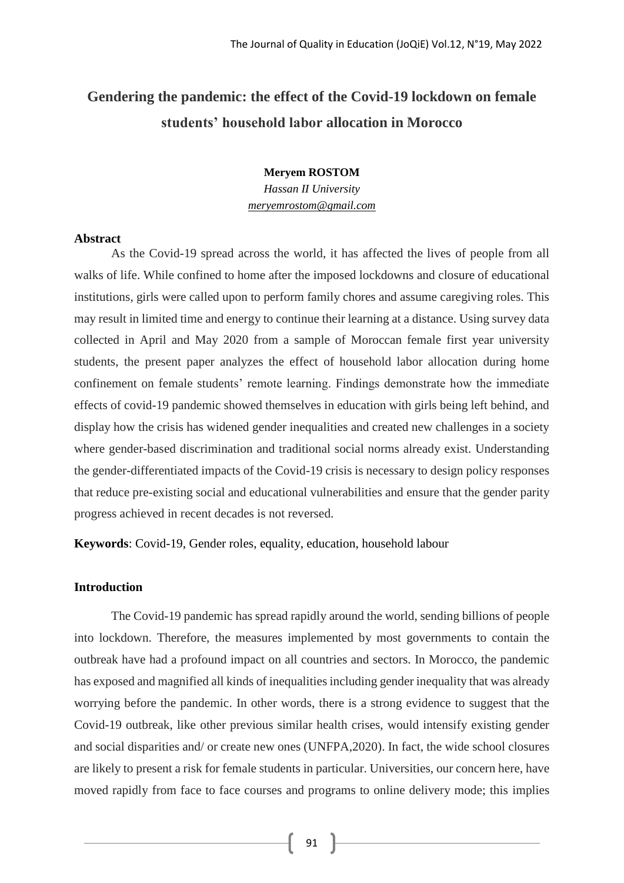# **Gendering the pandemic: the effect of the Covid-19 lockdown on female students' household labor allocation in Morocco**

# **Meryem ROSTOM**

*Hassan II University meryemrostom@gmail.com*

## **Abstract**

As the Covid-19 spread across the world, it has affected the lives of people from all walks of life. While confined to home after the imposed lockdowns and closure of educational institutions, girls were called upon to perform family chores and assume caregiving roles. This may result in limited time and energy to continue their learning at a distance. Using survey data collected in April and May 2020 from a sample of Moroccan female first year university students, the present paper analyzes the effect of household labor allocation during home confinement on female students' remote learning. Findings demonstrate how the immediate effects of covid-19 pandemic showed themselves in education with girls being left behind, and display how the crisis has widened gender inequalities and created new challenges in a society where gender-based discrimination and traditional social norms already exist. Understanding the gender-differentiated impacts of the Covid-19 crisis is necessary to design policy responses that reduce pre-existing social and educational vulnerabilities and ensure that the gender parity progress achieved in recent decades is not reversed.

**Keywords**: Covid-19, Gender roles, equality, education, household labour

## **Introduction**

The Covid-19 pandemic has spread rapidly around the world, sending billions of people into lockdown. Therefore, the measures implemented by most governments to contain the outbreak have had a profound impact on all countries and sectors. In Morocco, the pandemic has exposed and magnified all kinds of inequalities including gender inequality that was already worrying before the pandemic. In other words, there is a strong evidence to suggest that the Covid-19 outbreak, like other previous similar health crises, would intensify existing gender and social disparities and/ or create new ones (UNFPA,2020). In fact, the wide school closures are likely to present a risk for female students in particular. Universities, our concern here, have moved rapidly from face to face courses and programs to online delivery mode; this implies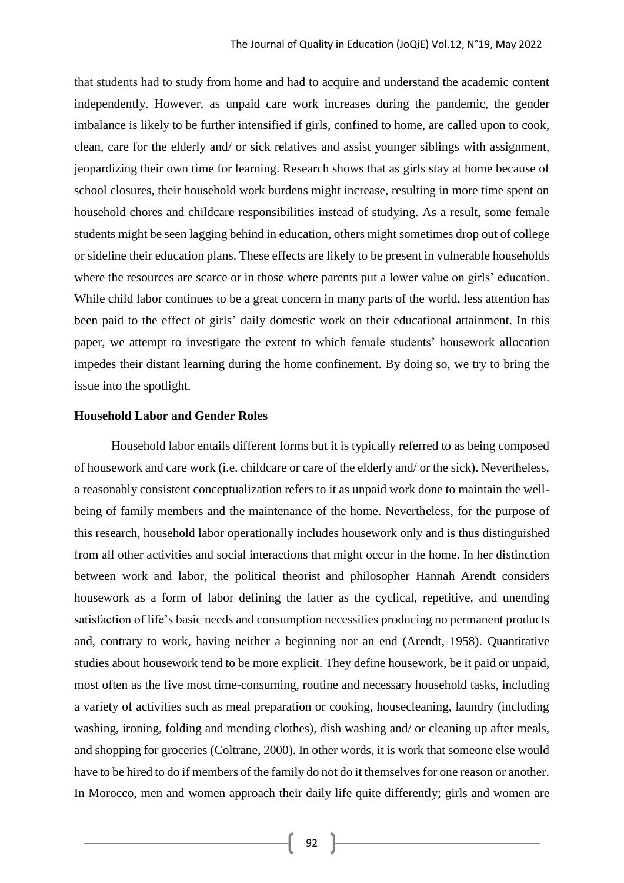that students had to study from home and had to acquire and understand the academic content independently. However, as unpaid care work increases during the pandemic, the gender imbalance is likely to be further intensified if girls, confined to home, are called upon to cook, clean, care for the elderly and/ or sick relatives and assist younger siblings with assignment, jeopardizing their own time for learning. Research shows that as girls stay at home because of school closures, their household work burdens might increase, resulting in more time spent on household chores and childcare responsibilities instead of studying. As a result, some female students might be seen lagging behind in education, others might sometimes drop out of college or sideline their education plans. These effects are likely to be present in vulnerable households where the resources are scarce or in those where parents put a lower value on girls' education. While child labor continues to be a great concern in many parts of the world, less attention has been paid to the effect of girls' daily domestic work on their educational attainment. In this paper, we attempt to investigate the extent to which female students' housework allocation impedes their distant learning during the home confinement. By doing so, we try to bring the issue into the spotlight.

#### **Household Labor and Gender Roles**

Household labor entails different forms but it is typically referred to as being composed of housework and care work (i.e. childcare or care of the elderly and/ or the sick). Nevertheless, a reasonably consistent conceptualization refers to it as unpaid work done to maintain the wellbeing of family members and the maintenance of the home. Nevertheless, for the purpose of this research, household labor operationally includes housework only and is thus distinguished from all other activities and social interactions that might occur in the home. In her distinction between work and labor, the political theorist and philosopher Hannah Arendt considers housework as a form of labor defining the latter as the cyclical, repetitive, and unending satisfaction of life's basic needs and consumption necessities producing no permanent products and, contrary to work, having neither a beginning nor an end (Arendt, 1958). Quantitative studies about housework tend to be more explicit. They define housework, be it paid or unpaid, most often as the five most time-consuming, routine and necessary household tasks, including a variety of activities such as meal preparation or cooking, housecleaning, laundry (including washing, ironing, folding and mending clothes), dish washing and/ or cleaning up after meals, and shopping for groceries (Coltrane, 2000). In other words, it is work that someone else would have to be hired to do if members of the family do not do it themselves for one reason or another. In Morocco, men and women approach their daily life quite differently; girls and women are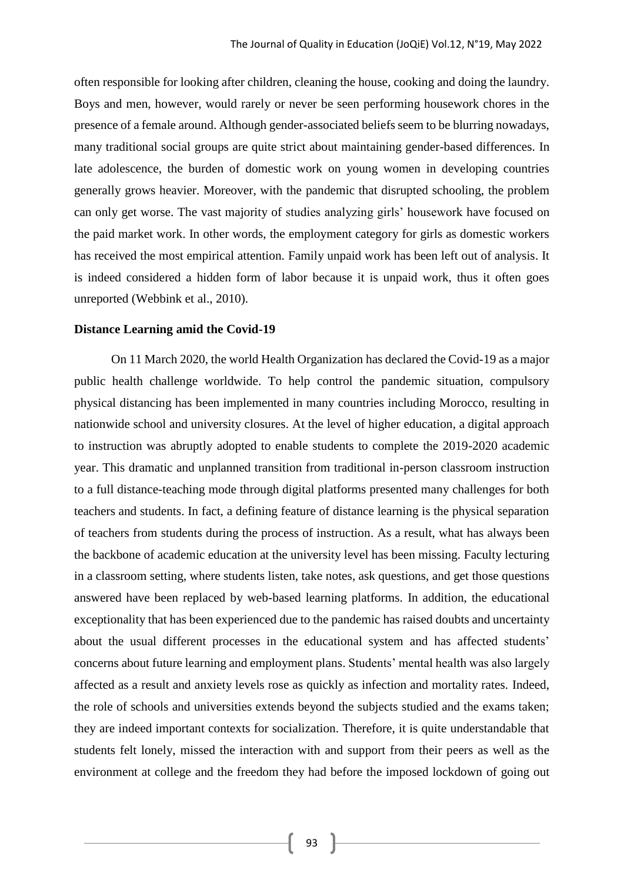often responsible for looking after children, cleaning the house, cooking and doing the laundry. Boys and men, however, would rarely or never be seen performing housework chores in the presence of a female around. Although gender-associated beliefs seem to be blurring nowadays, many traditional social groups are quite strict about maintaining gender-based differences. In late adolescence, the burden of domestic work on young women in developing countries generally grows heavier. Moreover, with the pandemic that disrupted schooling, the problem can only get worse. The vast majority of studies analyzing girls' housework have focused on the paid market work. In other words, the employment category for girls as domestic workers has received the most empirical attention. Family unpaid work has been left out of analysis. It is indeed considered a hidden form of labor because it is unpaid work, thus it often goes unreported (Webbink et al., 2010).

#### **Distance Learning amid the Covid-19**

On 11 March 2020, the world Health Organization has declared the Covid-19 as a major public health challenge worldwide. To help control the pandemic situation, compulsory physical distancing has been implemented in many countries including Morocco, resulting in nationwide school and university closures. At the level of higher education, a digital approach to instruction was abruptly adopted to enable students to complete the 2019-2020 academic year. This dramatic and unplanned transition from traditional in-person classroom instruction to a full distance-teaching mode through digital platforms presented many challenges for both teachers and students. In fact, a defining feature of distance learning is the physical separation of teachers from students during the process of instruction. As a result, what has always been the backbone of academic education at the university level has been missing. Faculty lecturing in a classroom setting, where students listen, take notes, ask questions, and get those questions answered have been replaced by web-based learning platforms. In addition, the educational exceptionality that has been experienced due to the pandemic has raised doubts and uncertainty about the usual different processes in the educational system and has affected students' concerns about future learning and employment plans. Students' mental health was also largely affected as a result and anxiety levels rose as quickly as infection and mortality rates. Indeed, the role of schools and universities extends beyond the subjects studied and the exams taken; they are indeed important contexts for socialization. Therefore, it is quite understandable that students felt lonely, missed the interaction with and support from their peers as well as the environment at college and the freedom they had before the imposed lockdown of going out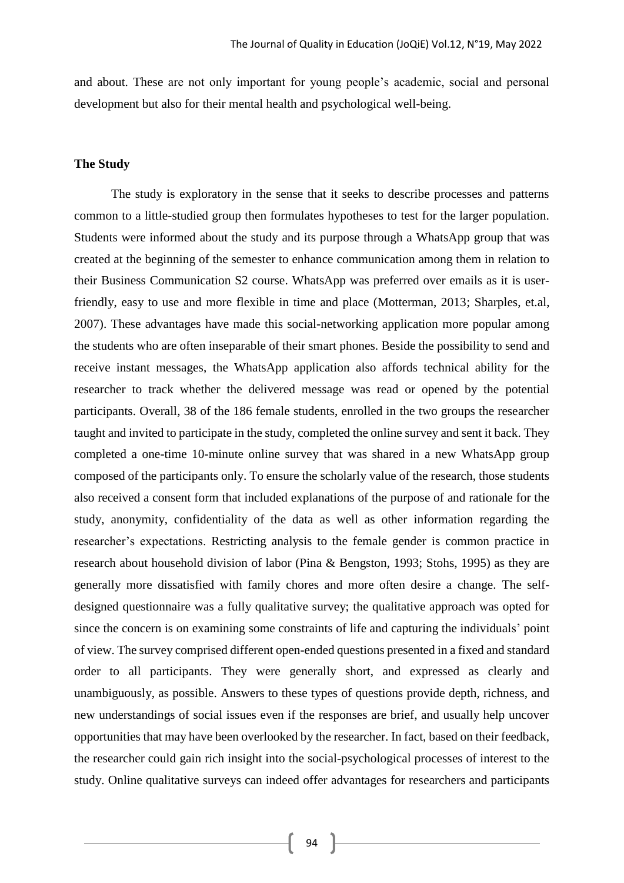and about. These are not only important for young people's academic, social and personal development but also for their mental health and psychological well-being.

## **The Study**

The study is exploratory in the sense that it seeks to describe processes and patterns common to a little-studied group then formulates hypotheses to test for the larger population. Students were informed about the study and its purpose through a WhatsApp group that was created at the beginning of the semester to enhance communication among them in relation to their Business Communication S2 course. WhatsApp was preferred over emails as it is userfriendly, easy to use and more flexible in time and place (Motterman, 2013; Sharples, et.al, 2007). These advantages have made this social-networking application more popular among the students who are often inseparable of their smart phones. Beside the possibility to send and receive instant messages, the WhatsApp application also affords technical ability for the researcher to track whether the delivered message was read or opened by the potential participants. Overall, 38 of the 186 female students, enrolled in the two groups the researcher taught and invited to participate in the study, completed the online survey and sent it back. They completed a one-time 10-minute online survey that was shared in a new WhatsApp group composed of the participants only. To ensure the scholarly value of the research, those students also received a consent form that included explanations of the purpose of and rationale for the study, anonymity, confidentiality of the data as well as other information regarding the researcher's expectations. Restricting analysis to the female gender is common practice in research about household division of labor (Pina & Bengston, 1993; Stohs, 1995) as they are generally more dissatisfied with family chores and more often desire a change. The selfdesigned questionnaire was a fully qualitative survey; the qualitative approach was opted for since the concern is on examining some constraints of life and capturing the individuals' point of view. The survey comprised different open-ended questions presented in a fixed and standard order to all participants. They were generally short, and expressed as clearly and unambiguously, as possible. Answers to these types of questions provide depth, richness, and new understandings of social issues even if the responses are brief, and usually help uncover opportunities that may have been overlooked by the researcher. In fact, based on their feedback, the researcher could gain rich insight into the social-psychological processes of interest to the study. Online qualitative surveys can indeed offer advantages for researchers and participants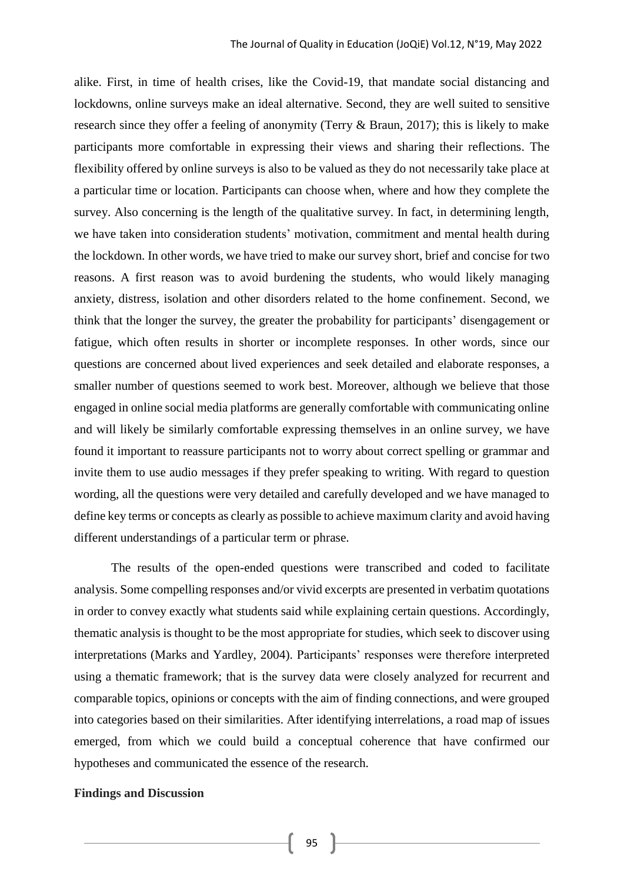alike. First, in time of health crises, like the Covid-19, that mandate social distancing and lockdowns, online surveys make an ideal alternative. Second, they are well suited to sensitive research since they offer a feeling of anonymity (Terry & Braun, 2017); this is likely to make participants more comfortable in expressing their views and sharing their reflections. The flexibility offered by online surveys is also to be valued as they do not necessarily take place at a particular time or location. Participants can choose when, where and how they complete the survey. Also concerning is the length of the qualitative survey. In fact, in determining length, we have taken into consideration students' motivation, commitment and mental health during the lockdown. In other words, we have tried to make our survey short, brief and concise for two reasons. A first reason was to avoid burdening the students, who would likely managing anxiety, distress, isolation and other disorders related to the home confinement. Second, we think that the longer the survey, the greater the probability for participants' disengagement or fatigue, which often results in shorter or incomplete responses. In other words, since our questions are concerned about lived experiences and seek detailed and elaborate responses, a smaller number of questions seemed to work best. Moreover, although we believe that those engaged in online social media platforms are generally comfortable with communicating online and will likely be similarly comfortable expressing themselves in an online survey, we have found it important to reassure participants not to worry about correct spelling or grammar and invite them to use audio messages if they prefer speaking to writing. With regard to question wording, all the questions were very detailed and carefully developed and we have managed to define key terms or concepts as clearly as possible to achieve maximum clarity and avoid having different understandings of a particular term or phrase.

The results of the open-ended questions were transcribed and coded to facilitate analysis. Some compelling responses and/or vivid excerpts are presented in verbatim quotations in order to convey exactly what students said while explaining certain questions. Accordingly, thematic analysis is thought to be the most appropriate for studies, which seek to discover using interpretations (Marks and Yardley, 2004). Participants' responses were therefore interpreted using a thematic framework; that is the survey data were closely analyzed for recurrent and comparable topics, opinions or concepts with the aim of finding connections, and were grouped into categories based on their similarities. After identifying interrelations, a road map of issues emerged, from which we could build a conceptual coherence that have confirmed our hypotheses and communicated the essence of the research.

#### **Findings and Discussion**

95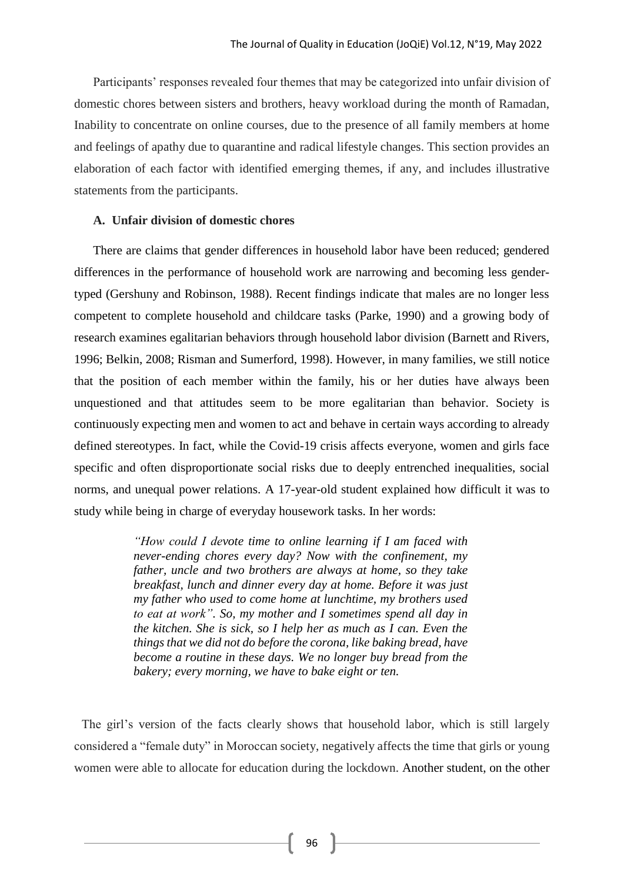Participants' responses revealed four themes that may be categorized into unfair division of domestic chores between sisters and brothers, heavy workload during the month of Ramadan, Inability to concentrate on online courses, due to the presence of all family members at home and feelings of apathy due to quarantine and radical lifestyle changes. This section provides an elaboration of each factor with identified emerging themes, if any, and includes illustrative statements from the participants.

## **A. Unfair division of domestic chores**

There are claims that gender differences in household labor have been reduced; gendered differences in the performance of household work are narrowing and becoming less gendertyped (Gershuny and Robinson, 1988). Recent findings indicate that males are no longer less competent to complete household and childcare tasks (Parke, 1990) and a growing body of research examines egalitarian behaviors through household labor division (Barnett and Rivers, 1996; Belkin, 2008; Risman and Sumerford, 1998). However, in many families, we still notice that the position of each member within the family, his or her duties have always been unquestioned and that attitudes seem to be more egalitarian than behavior. Society is continuously expecting men and women to act and behave in certain ways according to already defined stereotypes. In fact, while the Covid-19 crisis affects everyone, women and girls face specific and often disproportionate social risks due to deeply entrenched inequalities, social norms, and unequal power relations. A 17-year-old student explained how difficult it was to study while being in charge of everyday housework tasks. In her words:

> *"How could I devote time to online learning if I am faced with never-ending chores every day? Now with the confinement, my father, uncle and two brothers are always at home, so they take breakfast, lunch and dinner every day at home. Before it was just my father who used to come home at lunchtime, my brothers used to eat at work". So, my mother and I sometimes spend all day in the kitchen. She is sick, so I help her as much as I can. Even the things that we did not do before the corona, like baking bread, have become a routine in these days. We no longer buy bread from the bakery; every morning, we have to bake eight or ten.*

The girl's version of the facts clearly shows that household labor, which is still largely considered a "female duty" in Moroccan society, negatively affects the time that girls or young women were able to allocate for education during the lockdown. Another student, on the other

 $96$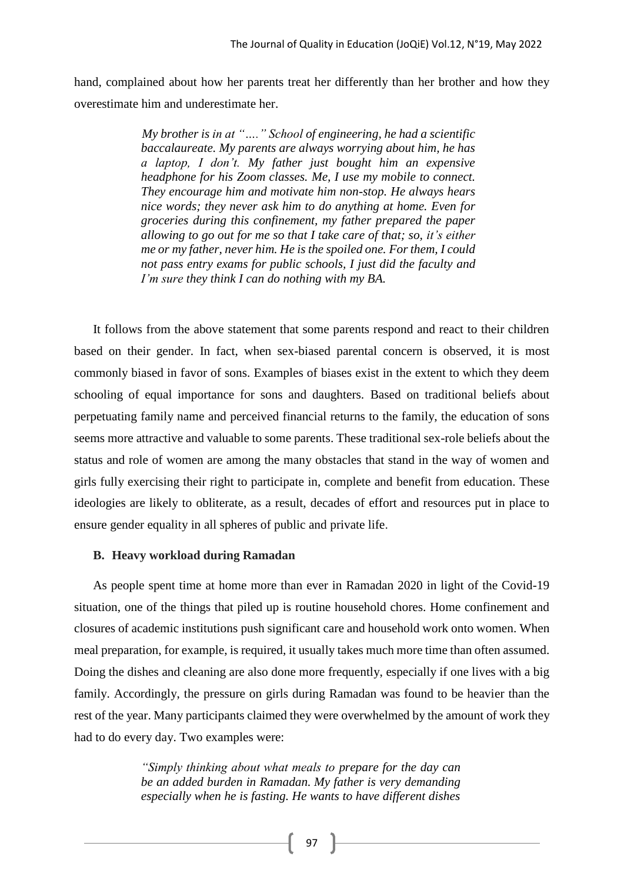hand, complained about how her parents treat her differently than her brother and how they overestimate him and underestimate her.

> *My brother is in at "…." School of engineering, he had a scientific baccalaureate. My parents are always worrying about him, he has a laptop, I don't. My father just bought him an expensive headphone for his Zoom classes. Me, I use my mobile to connect. They encourage him and motivate him non-stop. He always hears nice words; they never ask him to do anything at home. Even for groceries during this confinement, my father prepared the paper allowing to go out for me so that I take care of that; so, it's either me or my father, never him. He is the spoiled one. For them, I could not pass entry exams for public schools, I just did the faculty and I'm sure they think I can do nothing with my BA.*

It follows from the above statement that some parents respond and react to their children based on their gender. In fact, when sex-biased parental concern is observed, it is most commonly biased in favor of sons. Examples of biases exist in the extent to which they deem schooling of equal importance for sons and daughters. Based on traditional beliefs about perpetuating family name and perceived financial returns to the family, the education of sons seems more attractive and valuable to some parents. These traditional sex-role beliefs about the status and role of women are among the many obstacles that stand in the way of women and girls fully exercising their right to participate in, complete and benefit from education. These ideologies are likely to obliterate, as a result, decades of effort and resources put in place to ensure gender equality in all spheres of public and private life.

# **B. Heavy workload during Ramadan**

As people spent time at home more than ever in Ramadan 2020 in light of the Covid-19 situation, one of the things that piled up is routine household chores. Home confinement and closures of academic institutions push significant care and household work onto women. When meal preparation, for example, is required, it usually takes much more time than often assumed. Doing the dishes and cleaning are also done more frequently, especially if one lives with a big family. Accordingly, the pressure on girls during Ramadan was found to be heavier than the rest of the year. Many participants claimed they were overwhelmed by the amount of work they had to do every day. Two examples were:

> *"Simply thinking about what meals to prepare for the day can be an added burden in Ramadan. My father is very demanding especially when he is fasting. He wants to have different dishes*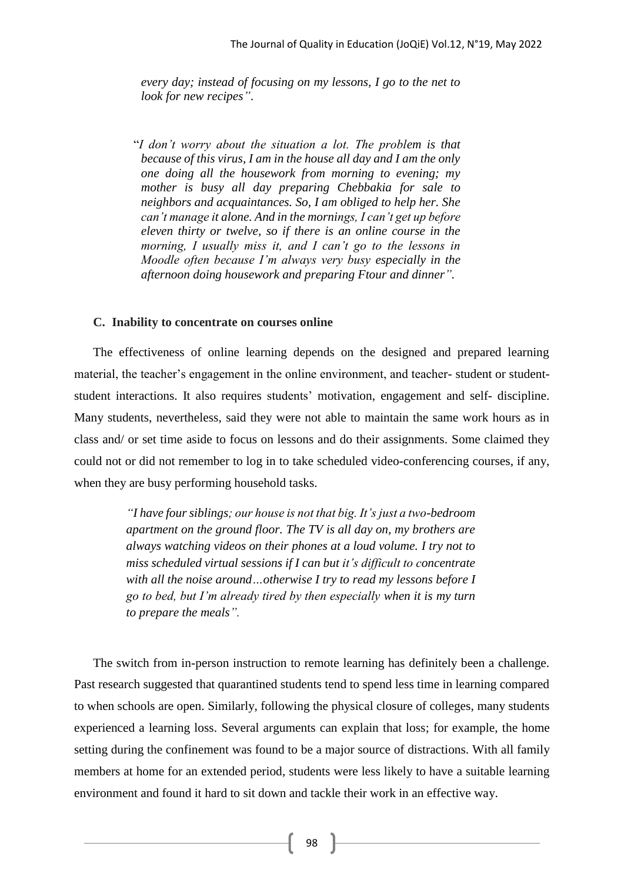*every day; instead of focusing on my lessons, I go to the net to look for new recipes"*.

"*I don't worry about the situation a lot. The problem is that because of this virus, I am in the house all day and I am the only one doing all the housework from morning to evening; my mother is busy all day preparing Chebbakia for sale to neighbors and acquaintances. So, I am obliged to help her. She can't manage it alone. And in the mornings, I can't get up before eleven thirty or twelve, so if there is an online course in the morning, I usually miss it, and I can't go to the lessons in Moodle often because I'm always very busy especially in the afternoon doing housework and preparing Ftour and dinner".* 

#### **C. Inability to concentrate on courses online**

The effectiveness of online learning depends on the designed and prepared learning material, the teacher's engagement in the online environment, and teacher- student or studentstudent interactions. It also requires students' motivation, engagement and self- discipline. Many students, nevertheless, said they were not able to maintain the same work hours as in class and/ or set time aside to focus on lessons and do their assignments. Some claimed they could not or did not remember to log in to take scheduled video-conferencing courses, if any, when they are busy performing household tasks.

> *"I have four siblings; our house is not that big. It's just a two-bedroom apartment on the ground floor. The TV is all day on, my brothers are always watching videos on their phones at a loud volume. I try not to miss scheduled virtual sessions if I can but it's difficult to concentrate with all the noise around…otherwise I try to read my lessons before I go to bed, but I'm already tired by then especially when it is my turn to prepare the meals".*

The switch from in-person instruction to remote learning has definitely been a challenge. Past research suggested that quarantined students tend to spend less time in learning compared to when schools are open. Similarly, following the physical closure of colleges, many students experienced a learning loss. Several arguments can explain that loss; for example, the home setting during the confinement was found to be a major source of distractions. With all family members at home for an extended period, students were less likely to have a suitable learning environment and found it hard to sit down and tackle their work in an effective way.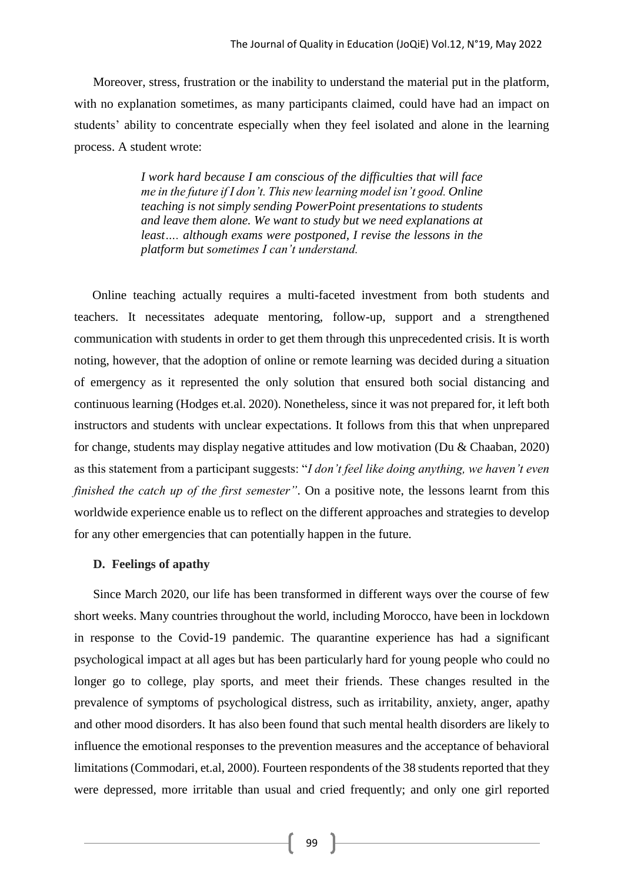Moreover, stress, frustration or the inability to understand the material put in the platform, with no explanation sometimes, as many participants claimed, could have had an impact on students' ability to concentrate especially when they feel isolated and alone in the learning process. A student wrote:

> *I work hard because I am conscious of the difficulties that will face me in the future if I don't. This new learning model isn't good. Online teaching is not simply sending PowerPoint presentations to students and leave them alone. We want to study but we need explanations at least…. although exams were postponed, I revise the lessons in the platform but sometimes I can't understand.*

Online teaching actually requires a multi-faceted investment from both students and teachers. It necessitates adequate mentoring, follow-up, support and a strengthened communication with students in order to get them through this unprecedented crisis. It is worth noting, however, that the adoption of online or remote learning was decided during a situation of emergency as it represented the only solution that ensured both social distancing and continuous learning (Hodges et.al. 2020). Nonetheless, since it was not prepared for, it left both instructors and students with unclear expectations. It follows from this that when unprepared for change, students may display negative attitudes and low motivation (Du & Chaaban, 2020) as this statement from a participant suggests: "*I don't feel like doing anything, we haven't even finished the catch up of the first semester"*. On a positive note, the lessons learnt from this worldwide experience enable us to reflect on the different approaches and strategies to develop for any other emergencies that can potentially happen in the future.

## **D. Feelings of apathy**

Since March 2020, our life has been transformed in different ways over the course of few short weeks. Many countries throughout the world, including Morocco, have been in lockdown in response to the Covid-19 pandemic. The quarantine experience has had a significant psychological impact at all ages but has been particularly hard for young people who could no longer go to college, play sports, and meet their friends. These changes resulted in the prevalence of symptoms of psychological distress, such as irritability, anxiety, anger, apathy and other mood disorders. It has also been found that such mental health disorders are likely to influence the emotional responses to the prevention measures and the acceptance of behavioral limitations (Commodari, et.al, 2000). Fourteen respondents of the 38 students reported that they were depressed, more irritable than usual and cried frequently; and only one girl reported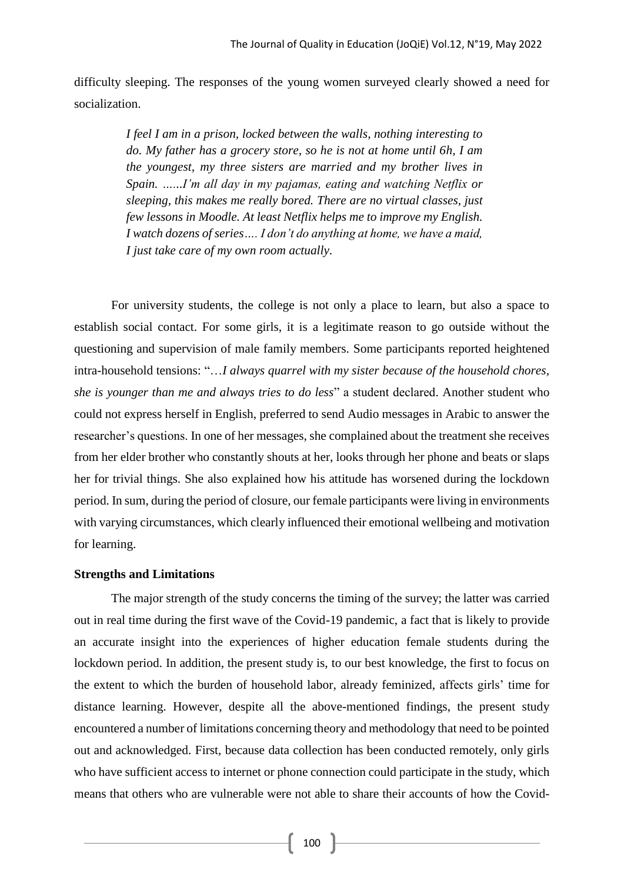difficulty sleeping. The responses of the young women surveyed clearly showed a need for socialization.

> *I feel I am in a prison, locked between the walls, nothing interesting to do. My father has a grocery store, so he is not at home until 6h, I am the youngest, my three sisters are married and my brother lives in Spain. …...I'm all day in my pajamas, eating and watching Netflix or sleeping, this makes me really bored. There are no virtual classes, just few lessons in Moodle. At least Netflix helps me to improve my English. I watch dozens of series…. I don't do anything at home, we have a maid, I just take care of my own room actually.*

For university students, the college is not only a place to learn, but also a space to establish social contact. For some girls, it is a legitimate reason to go outside without the questioning and supervision of male family members. Some participants reported heightened intra-household tensions: "…*I always quarrel with my sister because of the household chores, she is younger than me and always tries to do less*" a student declared. Another student who could not express herself in English, preferred to send Audio messages in Arabic to answer the researcher's questions. In one of her messages, she complained about the treatment she receives from her elder brother who constantly shouts at her, looks through her phone and beats or slaps her for trivial things. She also explained how his attitude has worsened during the lockdown period. In sum, during the period of closure, our female participants were living in environments with varying circumstances, which clearly influenced their emotional wellbeing and motivation for learning.

#### **Strengths and Limitations**

The major strength of the study concerns the timing of the survey; the latter was carried out in real time during the first wave of the Covid-19 pandemic, a fact that is likely to provide an accurate insight into the experiences of higher education female students during the lockdown period. In addition, the present study is, to our best knowledge, the first to focus on the extent to which the burden of household labor, already feminized, affects girls' time for distance learning. However, despite all the above-mentioned findings, the present study encountered a number of limitations concerning theory and methodology that need to be pointed out and acknowledged. First, because data collection has been conducted remotely, only girls who have sufficient access to internet or phone connection could participate in the study, which means that others who are vulnerable were not able to share their accounts of how the Covid-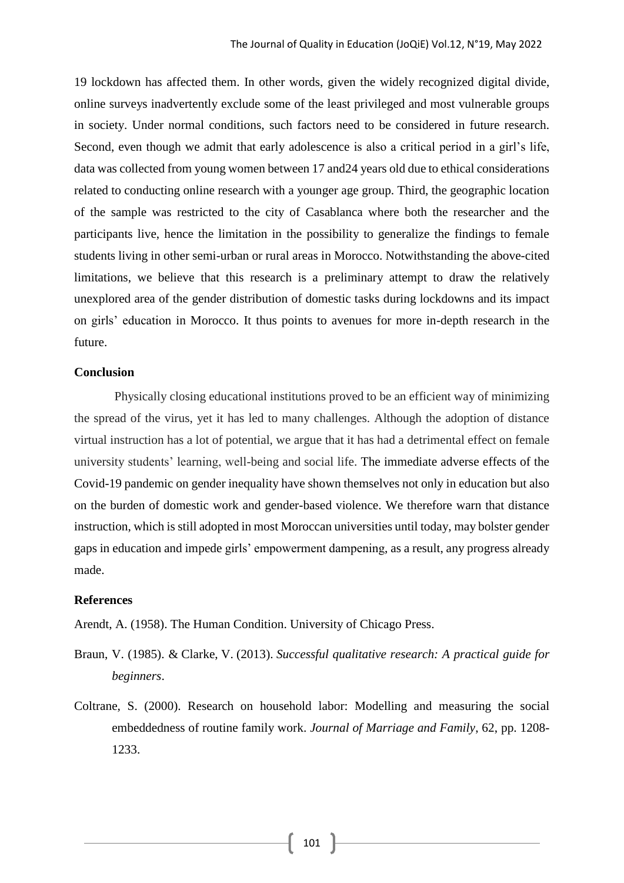19 lockdown has affected them. In other words, given the widely recognized digital divide, online surveys inadvertently exclude some of the least privileged and most vulnerable groups in society. Under normal conditions, such factors need to be considered in future research. Second, even though we admit that early adolescence is also a critical period in a girl's life, data was collected from young women between 17 and24 years old due to ethical considerations related to conducting online research with a younger age group. Third, the geographic location of the sample was restricted to the city of Casablanca where both the researcher and the participants live, hence the limitation in the possibility to generalize the findings to female students living in other semi-urban or rural areas in Morocco. Notwithstanding the above-cited limitations, we believe that this research is a preliminary attempt to draw the relatively unexplored area of the gender distribution of domestic tasks during lockdowns and its impact on girls' education in Morocco. It thus points to avenues for more in-depth research in the future.

# **Conclusion**

Physically closing educational institutions proved to be an efficient way of minimizing the spread of the virus, yet it has led to many challenges. Although the adoption of distance virtual instruction has a lot of potential, we argue that it has had a detrimental effect on female university students' learning, well-being and social life. The immediate adverse effects of the Covid-19 pandemic on gender inequality have shown themselves not only in education but also on the burden of domestic work and gender-based violence. We therefore warn that distance instruction, which is still adopted in most Moroccan universities until today, may bolster gender gaps in education and impede girls' empowerment dampening, as a result, any progress already made.

# **References**

Arendt, A. (1958). The Human Condition. University of Chicago Press.

- Braun, V. (1985). & Clarke, V. (2013). *Successful qualitative research: A practical guide for beginners*.
- Coltrane, S. (2000). Research on household labor: Modelling and measuring the social embeddedness of routine family work. *Journal of Marriage and Family*, 62, pp. 1208- 1233.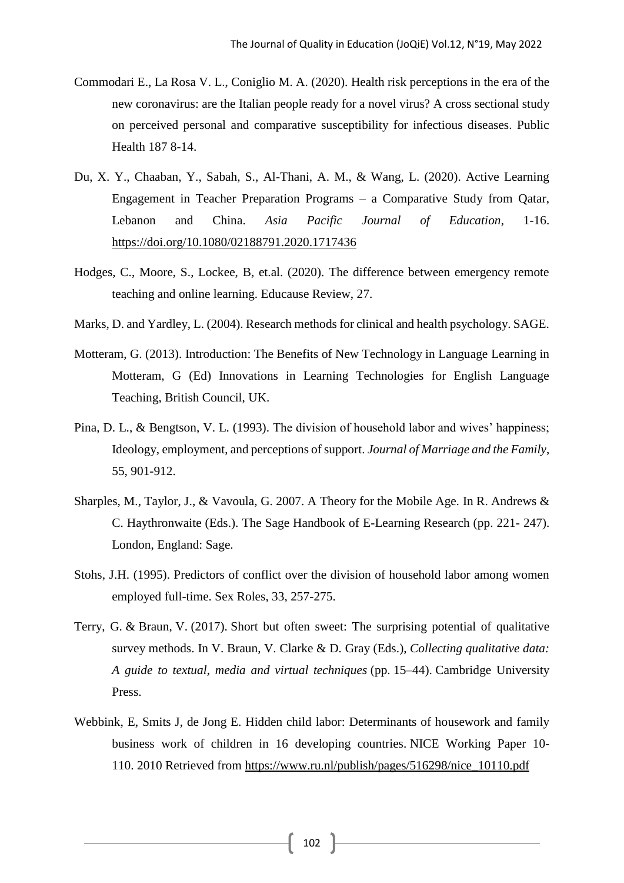- Commodari E., La Rosa V. L., Coniglio M. A. (2020). Health risk perceptions in the era of the new coronavirus: are the Italian people ready for a novel virus? A cross sectional study on perceived personal and comparative susceptibility for infectious diseases. Public Health 187 8-14.
- Du, X. Y., Chaaban, Y., Sabah, S., Al-Thani, A. M., & Wang, L. (2020). Active Learning Engagement in Teacher Preparation Programs – a Comparative Study from Qatar, Lebanon and China. *Asia Pacific Journal of Education*, 1-16. <https://doi.org/10.1080/02188791.2020.1717436>
- Hodges, C., Moore, S., Lockee, B, et.al. (2020). The difference between emergency remote teaching and online learning. Educause Review, 27.
- Marks, D. and Yardley, L. (2004). Research methods for clinical and health psychology. SAGE.
- Motteram, G. (2013). Introduction: The Benefits of New Technology in Language Learning in Motteram, G (Ed) Innovations in Learning Technologies for English Language Teaching, British Council, UK.
- Pina, D. L., & Bengtson, V. L. (1993). The division of household labor and wives' happiness; Ideology, employment, and perceptions of support. *Journal of Marriage and the Family*, 55, 901-912.
- Sharples, M., Taylor, J., & Vavoula, G. 2007. A Theory for the Mobile Age. In R. Andrews & C. Haythronwaite (Eds.). The Sage Handbook of E-Learning Research (pp. 221- 247). London, England: Sage.
- Stohs, J.H. (1995). Predictors of conflict over the division of household labor among women employed full-time. Sex Roles, 33, 257-275.
- Terry, G. & Braun, V. (2017). Short but often sweet: The surprising potential of qualitative survey methods. In V. Braun, V. Clarke & D. Gray (Eds.), *Collecting qualitative data: A guide to textual, media and virtual techniques* (pp. 15–44). Cambridge University Press.
- Webbink, E, Smits J, de Jong E. Hidden child labor: Determinants of housework and family business work of children in 16 developing countries. NICE Working Paper 10- 110. 2010 Retrieved from [https://www.ru.nl/publish/pages/516298/nice\\_10110.pdf](https://www.ru.nl/publish/pages/516298/nice_10110.pdf)